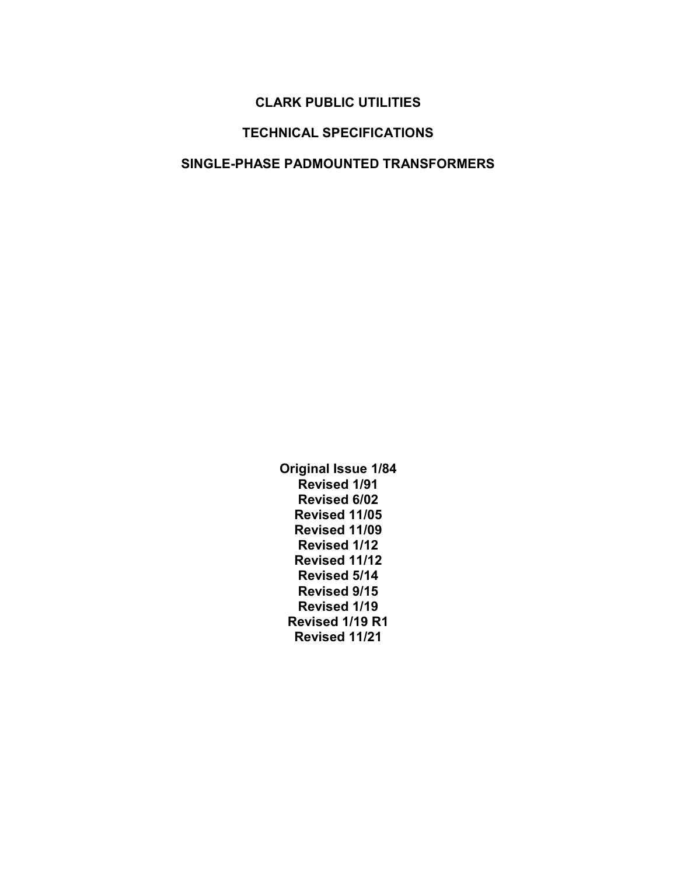### CLARK PUBLIC UTILITIES

### TECHNICAL SPECIFICATIONS

#### SINGLE-PHASE PADMOUNTED TRANSFORMERS

Original Issue 1/84 Revised 1/91 Revised 6/02 Revised 11/05 Revised 11/09 Revised 1/12 Revised 11/12 Revised 5/14 Revised 9/15 Revised 1/19 Revised 1/19 R1 Revised 11/21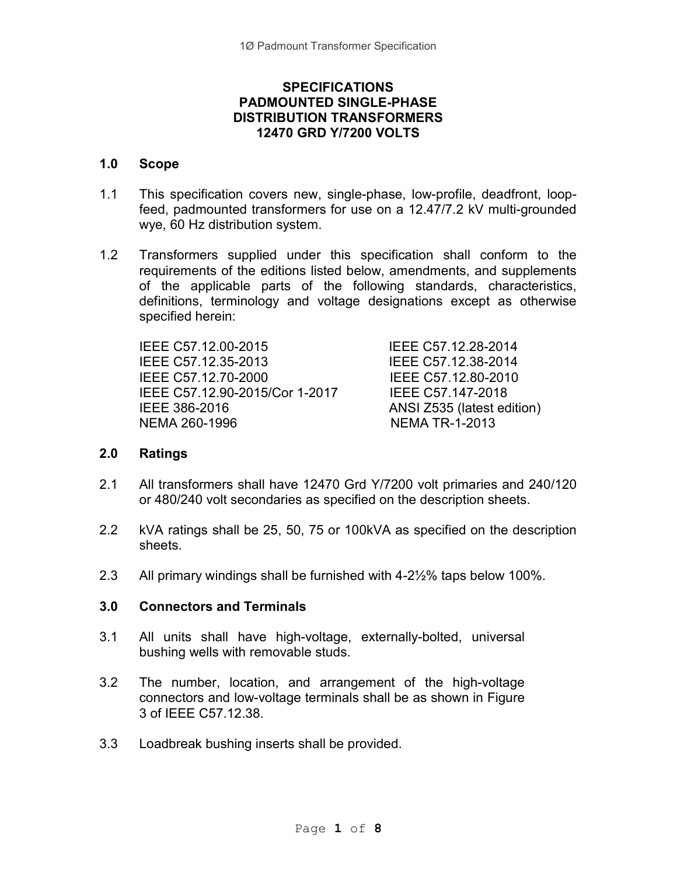### **SPECIFICATIONS** PADMOUNTED SINGLE-PHASE DISTRIBUTION TRANSFORMERS 12470 GRD Y/7200 VOLTS

#### 1.0 Scope

- 1.1 This specification covers new, single-phase, low-profile, deadfront, loopfeed, padmounted transformers for use on a 12.47/7.2 kV multi-grounded wye, 60 Hz distribution system.
- 1.2 Transformers supplied under this specification shall conform to the requirements of the editions listed below, amendments, and supplements of the applicable parts of the following standards, characteristics, definitions, terminology and voltage designations except as otherwise specified herein:

IEEE C57.12.00-2015 IEEE C57.12.28-2014 IEEE C57.12.35-2013 IEEE C57.12.38-2014 IEEE C57.12.70-2000 IEEE C57.12.80-2010 IEEE C57.12.90-2015/Cor 1-2017 IEEE C57.147-2018 IEEE 386-2016 ANSI Z535 (latest edition) NEMA 260-1996 NEMA TR-1-2013

### 2.0 Ratings

- 2.1 All transformers shall have 12470 Grd Y/7200 volt primaries and 240/120 or 480/240 volt secondaries as specified on the description sheets.
- 2.2 kVA ratings shall be 25, 50, 75 or 100kVA as specified on the description sheets.
- 2.3 All primary windings shall be furnished with 4-2½% taps below 100%.

### 3.0 Connectors and Terminals

- 3.1 All units shall have high-voltage, externally-bolted, universal bushing wells with removable studs.
- 3.2 The number, location, and arrangement of the high-voltage connectors and low-voltage terminals shall be as shown in Figure 3 of IEEE C57.12.38.
- 3.3 Loadbreak bushing inserts shall be provided.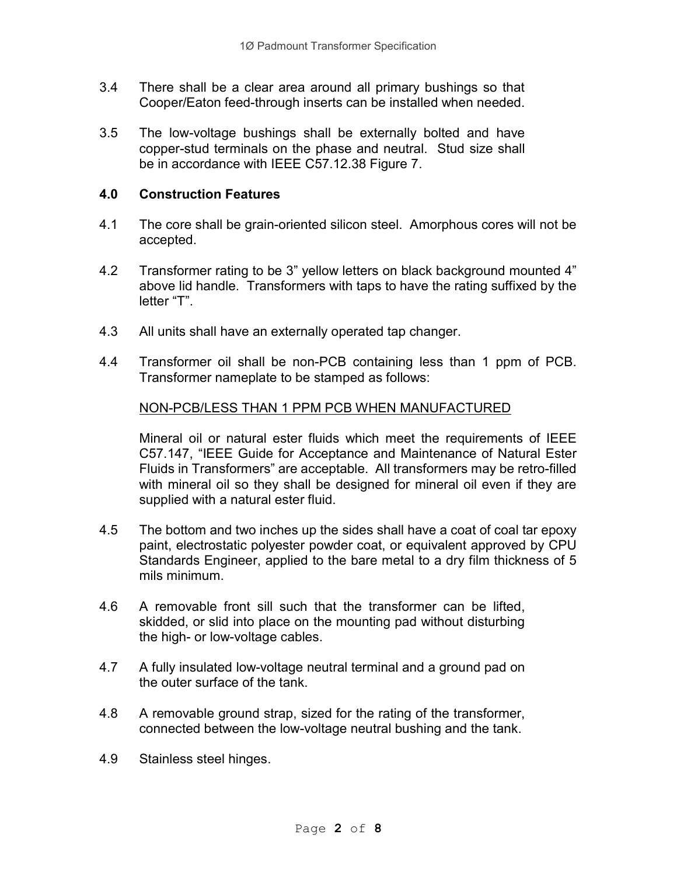- 3.4 There shall be a clear area around all primary bushings so that Cooper/Eaton feed-through inserts can be installed when needed.
- 3.5 The low-voltage bushings shall be externally bolted and have copper-stud terminals on the phase and neutral. Stud size shall be in accordance with IEEE C57.12.38 Figure 7.

### 4.0 Construction Features

- 4.1 The core shall be grain-oriented silicon steel. Amorphous cores will not be accepted.
- 4.2 Transformer rating to be 3" yellow letters on black background mounted 4" above lid handle. Transformers with taps to have the rating suffixed by the letter "T".
- 4.3 All units shall have an externally operated tap changer.
- 4.4 Transformer oil shall be non-PCB containing less than 1 ppm of PCB. Transformer nameplate to be stamped as follows:

### NON-PCB/LESS THAN 1 PPM PCB WHEN MANUFACTURED

Mineral oil or natural ester fluids which meet the requirements of IEEE C57.147, "IEEE Guide for Acceptance and Maintenance of Natural Ester Fluids in Transformers" are acceptable. All transformers may be retro-filled with mineral oil so they shall be designed for mineral oil even if they are supplied with a natural ester fluid.

- 4.5 The bottom and two inches up the sides shall have a coat of coal tar epoxy paint, electrostatic polyester powder coat, or equivalent approved by CPU Standards Engineer, applied to the bare metal to a dry film thickness of 5 mils minimum.
- 4.6 A removable front sill such that the transformer can be lifted, skidded, or slid into place on the mounting pad without disturbing the high- or low-voltage cables.
- 4.7 A fully insulated low-voltage neutral terminal and a ground pad on the outer surface of the tank.
- 4.8 A removable ground strap, sized for the rating of the transformer, connected between the low-voltage neutral bushing and the tank.
- 4.9 Stainless steel hinges.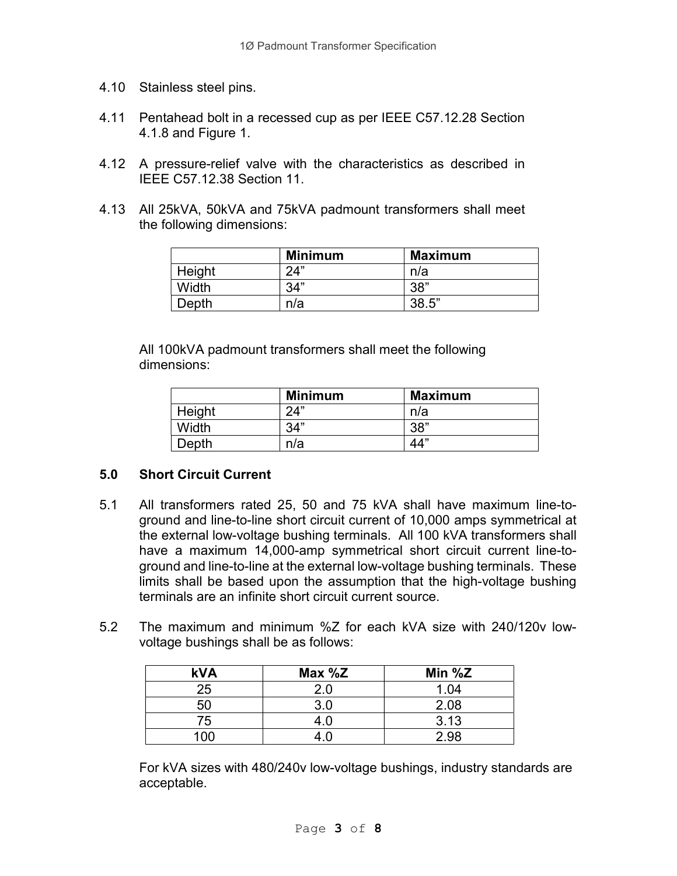- 4.10 Stainless steel pins.
- 4.11 Pentahead bolt in a recessed cup as per IEEE C57.12.28 Section 4.1.8 and Figure 1.
- 4.12 A pressure-relief valve with the characteristics as described in IEEE C57.12.38 Section 11.
- 4.13 All 25kVA, 50kVA and 75kVA padmount transformers shall meet the following dimensions:

|        | <b>Minimum</b> | <b>Maximum</b> |
|--------|----------------|----------------|
| Height | 24"            | n/a            |
| Width  | 34"            | 38"            |
| Depth  | n/a            | 38.5"          |

 All 100kVA padmount transformers shall meet the following dimensions:

|        | <b>Minimum</b> | <b>Maximum</b> |
|--------|----------------|----------------|
| Height | 24"            | n/a            |
| Width  | 34"            | 38"            |
| Depth  | n/a            | 44"            |

### 5.0 Short Circuit Current

- 5.1 All transformers rated 25, 50 and 75 kVA shall have maximum line-toground and line-to-line short circuit current of 10,000 amps symmetrical at the external low-voltage bushing terminals. All 100 kVA transformers shall have a maximum 14,000-amp symmetrical short circuit current line-toground and line-to-line at the external low-voltage bushing terminals. These limits shall be based upon the assumption that the high-voltage bushing terminals are an infinite short circuit current source.
- 5.2 The maximum and minimum %Z for each kVA size with 240/120v lowvoltage bushings shall be as follows:

| <b>kVA</b> | Max %Z | Min $%Z$ |
|------------|--------|----------|
| 25         | 2.0    | 1.04     |
| 50         | 3.0    | 2.08     |
| 75         |        | 3.13     |
| 100        |        | 2.98     |

For kVA sizes with 480/240v low-voltage bushings, industry standards are acceptable.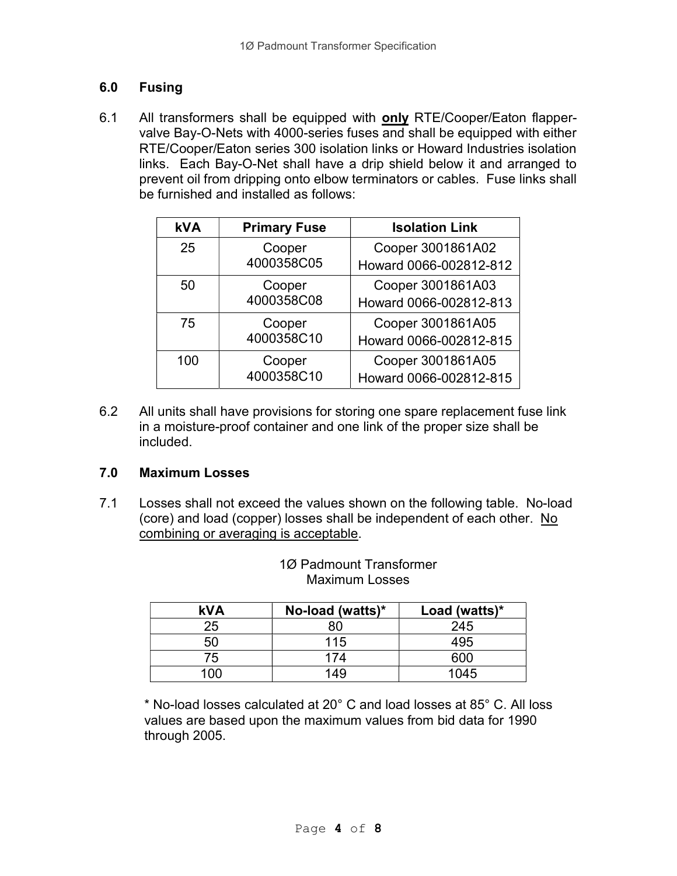# 6.0 Fusing

6.1 All transformers shall be equipped with only RTE/Cooper/Eaton flappervalve Bay-O-Nets with 4000-series fuses and shall be equipped with either RTE/Cooper/Eaton series 300 isolation links or Howard Industries isolation links. Each Bay-O-Net shall have a drip shield below it and arranged to prevent oil from dripping onto elbow terminators or cables. Fuse links shall be furnished and installed as follows:

| <b>kVA</b> | <b>Primary Fuse</b>  | <b>Isolation Link</b>  |
|------------|----------------------|------------------------|
| 25         | Cooper               | Cooper 3001861A02      |
|            | 4000358C05           | Howard 0066-002812-812 |
| 50         | Cooper               | Cooper 3001861A03      |
|            | 4000358C08           | Howard 0066-002812-813 |
| 75         | Cooper               | Cooper 3001861A05      |
|            | 4000358C10           | Howard 0066-002812-815 |
| 100        | Cooper<br>4000358C10 | Cooper 3001861A05      |
|            |                      | Howard 0066-002812-815 |

6.2 All units shall have provisions for storing one spare replacement fuse link in a moisture-proof container and one link of the proper size shall be included.

# 7.0 Maximum Losses

7.1 Losses shall not exceed the values shown on the following table. No-load (core) and load (copper) losses shall be independent of each other. No combining or averaging is acceptable.

| <b>kVA</b> | No-load (watts)* | Load (watts)* |
|------------|------------------|---------------|
| 25         | 80               | 245           |
| 50         | 115              | 495           |
| 75         | 174              | 600           |
| 100        | 149              | 1045          |

### 1Ø Padmount Transformer Maximum Losses

\* No-load losses calculated at 20° C and load losses at 85° C. All loss values are based upon the maximum values from bid data for 1990 through 2005.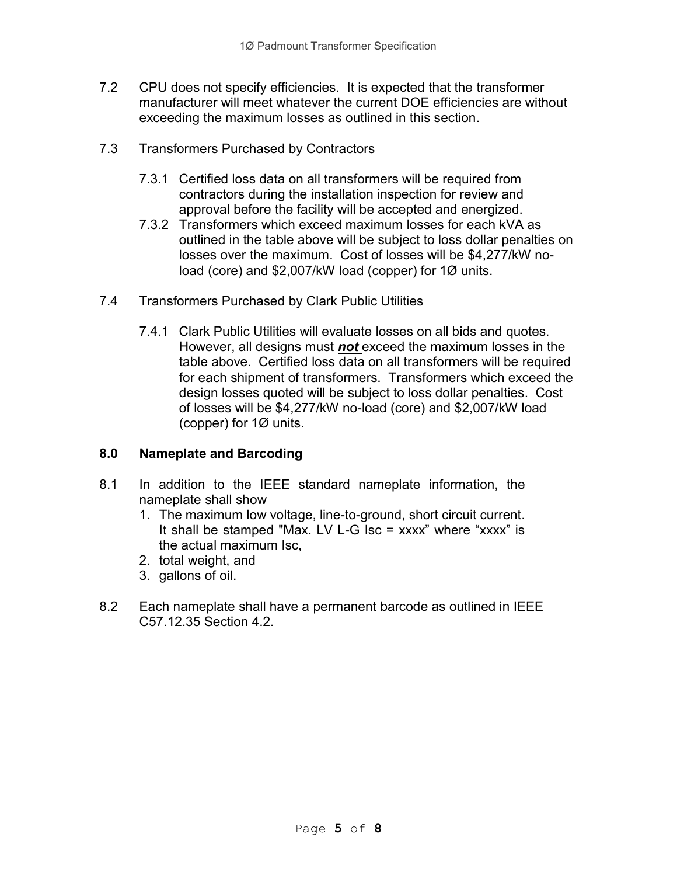- 7.2 CPU does not specify efficiencies. It is expected that the transformer manufacturer will meet whatever the current DOE efficiencies are without exceeding the maximum losses as outlined in this section.
- 7.3 Transformers Purchased by Contractors
	- 7.3.1 Certified loss data on all transformers will be required from contractors during the installation inspection for review and approval before the facility will be accepted and energized.
	- 7.3.2 Transformers which exceed maximum losses for each kVA as outlined in the table above will be subject to loss dollar penalties on losses over the maximum. Cost of losses will be \$4,277/kW noload (core) and \$2,007/kW load (copper) for 1Ø units.
- 7.4 Transformers Purchased by Clark Public Utilities
	- 7.4.1 Clark Public Utilities will evaluate losses on all bids and quotes. However, all designs must not exceed the maximum losses in the table above. Certified loss data on all transformers will be required for each shipment of transformers. Transformers which exceed the design losses quoted will be subject to loss dollar penalties. Cost of losses will be \$4,277/kW no-load (core) and \$2,007/kW load (copper) for 1Ø units.

# 8.0 Nameplate and Barcoding

- 8.1 In addition to the IEEE standard nameplate information, the nameplate shall show
	- 1. The maximum low voltage, line-to-ground, short circuit current. It shall be stamped "Max. LV L-G Isc = xxxx" where "xxxx" is the actual maximum Isc,
	- 2. total weight, and
	- 3. gallons of oil.
- 8.2 Each nameplate shall have a permanent barcode as outlined in IEEE C57.12.35 Section 4.2.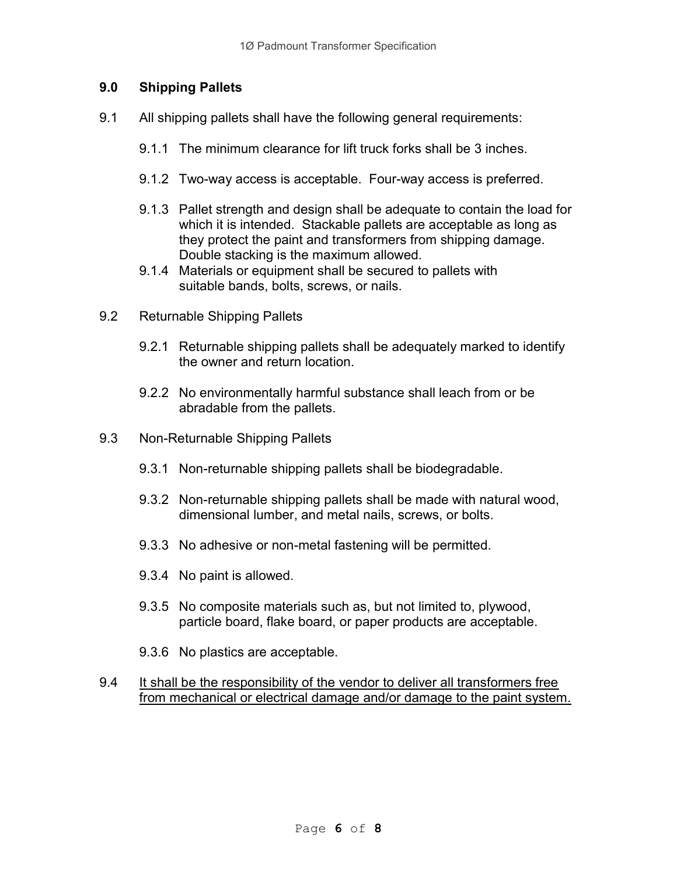# 9.0 Shipping Pallets

- 9.1 All shipping pallets shall have the following general requirements:
	- 9.1.1 The minimum clearance for lift truck forks shall be 3 inches.
	- 9.1.2 Two-way access is acceptable. Four-way access is preferred.
	- 9.1.3 Pallet strength and design shall be adequate to contain the load for which it is intended. Stackable pallets are acceptable as long as they protect the paint and transformers from shipping damage. Double stacking is the maximum allowed.
	- 9.1.4 Materials or equipment shall be secured to pallets with suitable bands, bolts, screws, or nails.
- 9.2 Returnable Shipping Pallets
	- 9.2.1 Returnable shipping pallets shall be adequately marked to identify the owner and return location.
	- 9.2.2 No environmentally harmful substance shall leach from or be abradable from the pallets.
- 9.3 Non-Returnable Shipping Pallets
	- 9.3.1 Non-returnable shipping pallets shall be biodegradable.
	- 9.3.2 Non-returnable shipping pallets shall be made with natural wood, dimensional lumber, and metal nails, screws, or bolts.
	- 9.3.3 No adhesive or non-metal fastening will be permitted.
	- 9.3.4 No paint is allowed.
	- 9.3.5 No composite materials such as, but not limited to, plywood, particle board, flake board, or paper products are acceptable.
	- 9.3.6 No plastics are acceptable.
- 9.4 It shall be the responsibility of the vendor to deliver all transformers free from mechanical or electrical damage and/or damage to the paint system.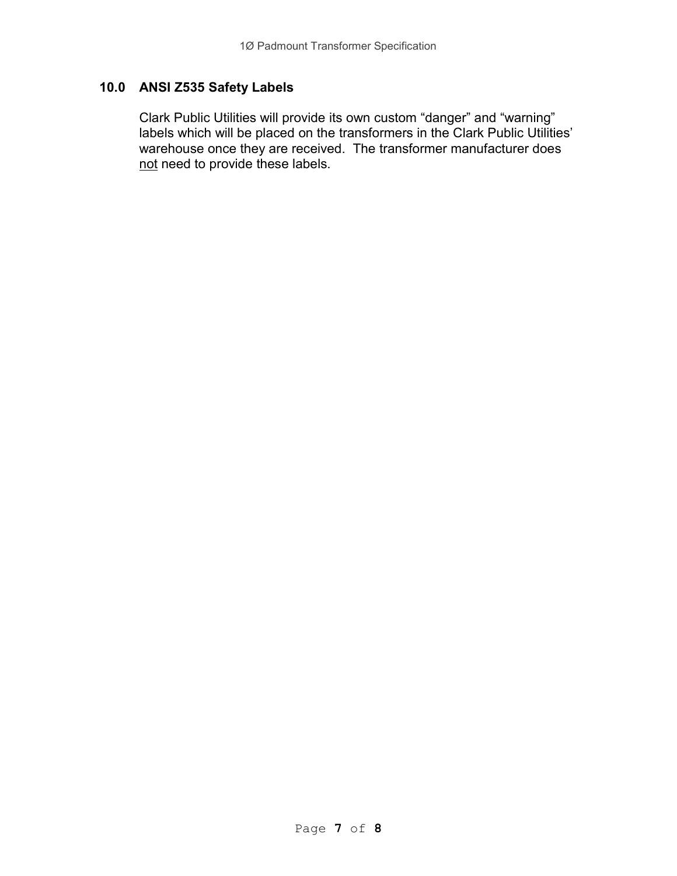# 10.0 ANSI Z535 Safety Labels

 Clark Public Utilities will provide its own custom "danger" and "warning" labels which will be placed on the transformers in the Clark Public Utilities' warehouse once they are received. The transformer manufacturer does not need to provide these labels.